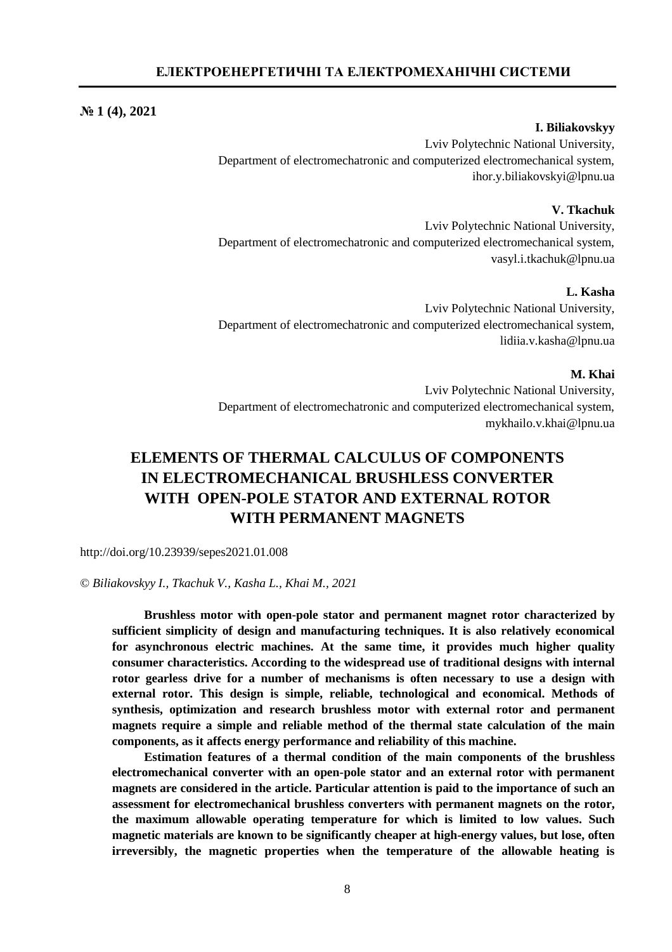## **№ 1 (4), 2021**

## **I. Biliakovskyy**

Lviv Polytechnic National University, Department of electromechatronic and computerized electromechanical system, [ihor.y.biliakovskyi@lpnu.ua](mailto:ihor.y.biliakovskyi@lpnu.ua)

## **V. Tkachuk**

Lviv Polytechnic National University, Department of electromechatronic and computerized electromechanical system, [vasyl.i.tkachuk@lpnu.ua](mailto:vasyl.i.tkachuk@lpnu.ua)

# **L. Kasha**

Lviv Polytechnic National University, Department of electromechatronic and computerized electromechanical system, [lidiia.v.kasha@lpnu.ua](mailto:lidiia.v.kasha@lpnu.ua)

## **M. Khai**

Lviv Polytechnic National University, Department of electromechatronic and computerized electromechanical system, [mykhailo.v.khai@lpnu.ua](mailto:mykhailo.v.khai@lpnu.ua)

# **ELEMENTS OF THERMAL CALCULUS OF COMPONENTS IN ELECTROMECHANICAL BRUSHLESS CONVERTER WITH OPEN-POLE STATOR AND EXTERNAL ROTOR WITH PERMANENT MAGNETS**

<http://doi.org/10.23939/sepes2021.01.008>

© *Biliakovskyy I., Tkachuk V., Kasha L., Khai M., 2021* 

**Brushless motor with open-pole stator and permanent magnet rotor characterized by sufficient simplicity of design and manufacturing techniques. It is also relatively economical for asynchronous electric machines. At the same time, it provides much higher quality consumer characteristics. According to the widespread use of traditional designs with internal rotor gearless drive for a number of mechanisms is often necessary to use a design with external rotor. This design is simple, reliable, technological and economical. Methods of synthesis, optimization and research brushless motor with external rotor and permanent magnets require a simple and reliable method of the thermal state calculation of the main components, as it affects energy performance and reliability of this machine.** 

**Estimation features of a thermal condition of the main components of the brushless electromechanical converter with an open-pole stator and an external rotor with permanent magnets are considered in the article. Particular attention is paid to the importance of such an assessment for electromechanical brushless converters with permanent magnets on the rotor, the maximum allowable operating temperature for which is limited to low values. Such magnetic materials are known to be significantly cheaper at high-energy values, but lose, often irreversibly, the magnetic properties when the temperature of the allowable heating is**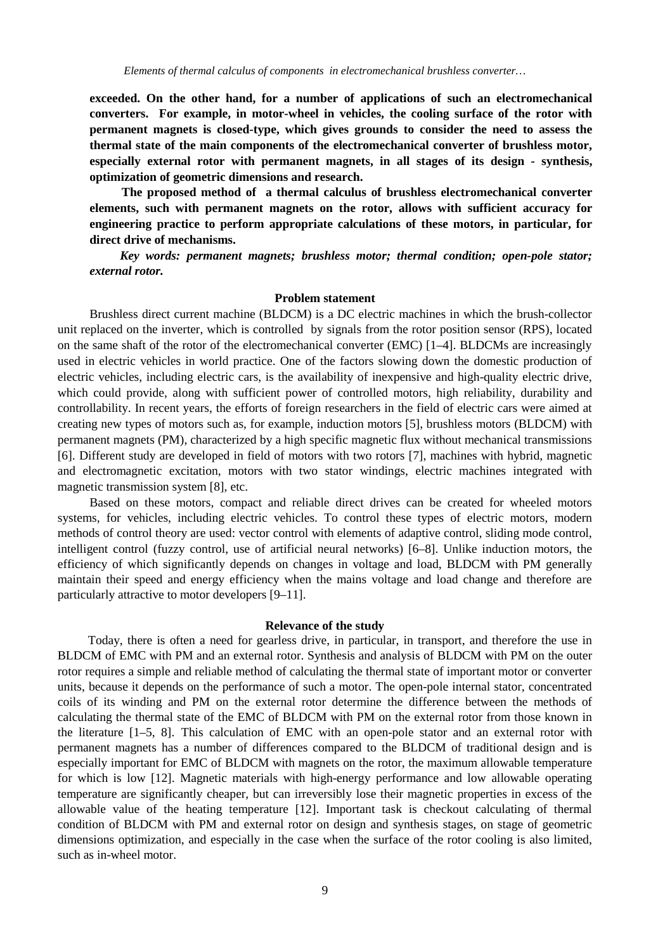**exceeded. On the other hand, for a number of applications of such an electromechanical converters. For example, in motor-wheel in vehicles, the cooling surface of the rotor with permanent magnets is closed-type, which gives grounds to consider the need to assess the thermal state of the main components of the electromechanical converter of brushless motor, especially external rotor with permanent magnets, in all stages of its design - synthesis, optimization of geometric dimensions and research.** 

**The proposed method of a thermal calculus of brushless electromechanical converter elements, such with permanent magnets on the rotor, allows with sufficient accuracy for engineering practice to perform appropriate calculations of these motors, in particular, for direct drive of mechanisms.** 

*Key words: permanent magnets; brushless motor; thermal condition; open-pole stator; external rotor.* 

## **Problem statement**

Brushless direct current machine (BLDCM) is a DC electric machines in which the brush-collector unit replaced on the inverter, which is controlled by signals from the rotor position sensor (RPS), located on the same shaft of the rotor of the electromechanical converter (EMC) [1–4]. BLDCMs are increasingly used in electric vehicles in world practice. One of the factors slowing down the domestic production of electric vehicles, including electric cars, is the availability of inexpensive and high-quality electric drive, which could provide, along with sufficient power of controlled motors, high reliability, durability and controllability. In recent years, the efforts of foreign researchers in the field of electric cars were aimed at creating new types of motors such as, for example, induction motors [5], brushless motors (BLDCM) with permanent magnets (PM), characterized by a high specific magnetic flux without mechanical transmissions [6]. Different study are developed in field of motors with two rotors [7], machines with hybrid, magnetic and electromagnetic excitation, motors with two stator windings, electric machines integrated with magnetic transmission system [8], etc.

Based on these motors, compact and reliable direct drives can be created for wheeled motors systems, for vehicles, including electric vehicles. To control these types of electric motors, modern methods of control theory are used: vector control with elements of adaptive control, sliding mode control, intelligent control (fuzzy control, use of artificial neural networks) [6–8]. Unlike induction motors, the efficiency of which significantly depends on changes in voltage and load, BLDCM with PM generally maintain their speed and energy efficiency when the mains voltage and load change and therefore are particularly attractive to motor developers [9–11].

## **Relevance of the study**

Today, there is often a need for gearless drive, in particular, in transport, and therefore the use in BLDCM of EMC with PM and an external rotor. Synthesis and analysis of BLDCM with PM on the outer rotor requires a simple and reliable method of calculating the thermal state of important motor or converter units, because it depends on the performance of such a motor. The open-pole internal stator, concentrated coils of its winding and PM on the external rotor determine the difference between the methods of calculating the thermal state of the EMC of BLDCM with PM on the external rotor from those known in the literature [1–5, 8]. This calculation of EMC with an open-pole stator and an external rotor with permanent magnets has a number of differences compared to the BLDCM of traditional design and is especially important for EMC of BLDCM with magnets on the rotor, the maximum allowable temperature for which is low [12]. Magnetic materials with high-energy performance and low allowable operating temperature are significantly cheaper, but can irreversibly lose their magnetic properties in excess of the allowable value of the heating temperature [12]. Important task is checkout calculating of thermal condition of BLDCM with PM and external rotor on design and synthesis stages, on stage of geometric dimensions optimization, and especially in the case when the surface of the rotor cooling is also limited, such as in-wheel motor.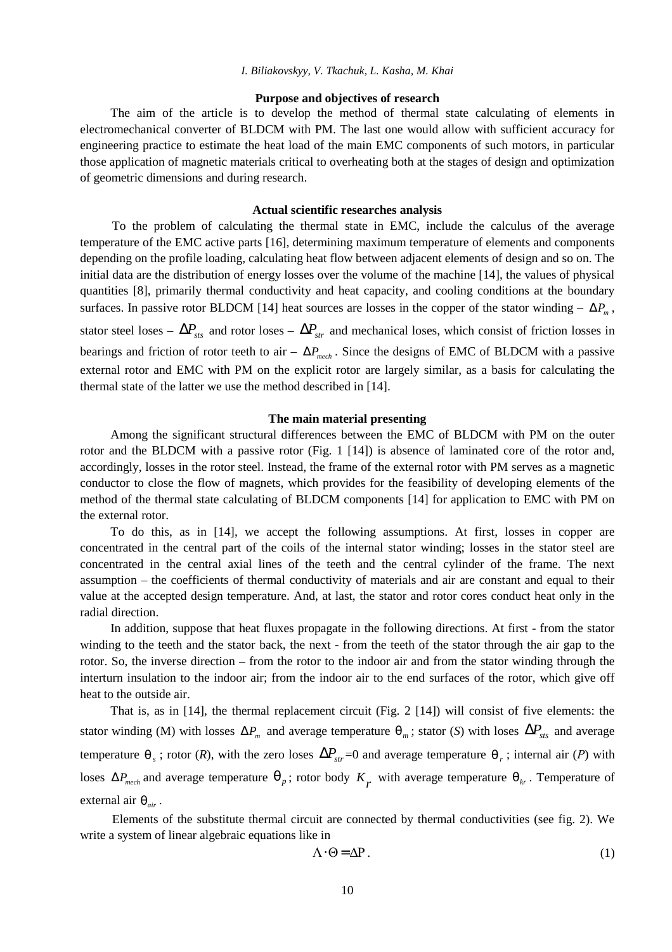## *I. Biliakovskyy, V. Tkachuk, L. Kasha, M. Khai*

## **Purpose and objectives of research**

The aim of the article is to develop the method of thermal state calculating of elements in electromechanical converter of BLDCM with PM. The last one would allow with sufficient accuracy for engineering practice to estimate the heat load of the main EMC components of such motors, in particular those application of magnetic materials critical to overheating both at the stages of design and optimization of geometric dimensions and during research.

#### **Actual scientific researches analysis**

To the problem of calculating the thermal state in EMC, include the calculus of the average temperature of the EMC active parts [16], determining maximum temperature of elements and components depending on the profile loading, calculating heat flow between adjacent elements of design and so on. The initial data are the distribution of energy losses over the volume of the machine [14], the values of physical quantities [8], primarily thermal conductivity and heat capacity, and cooling conditions at the boundary surfaces. In passive rotor BLDCM [14] heat sources are losses in the copper of the stator winding  $-DP_m$ , stator steel loses –  $\mathbf{D} \mathbf{P}_{sfs}$  and rotor loses –  $\mathbf{D} \mathbf{P}_{sfs}$  and mechanical loses, which consist of friction losses in bearings and friction of rotor teeth to air –  $DP_{mech}$ . Since the designs of EMC of BLDCM with a passive external rotor and EMC with PM on the explicit rotor are largely similar, as a basis for calculating the thermal state of the latter we use the method described in [14].

## **The main material presenting**

Among the significant structural differences between the EMC of BLDCM with PM on the outer rotor and the BLDCM with a passive rotor (Fig. 1 [14]) is absence of laminated core of the rotor and, accordingly, losses in the rotor steel. Instead, the frame of the external rotor with PM serves as a magnetic conductor to close the flow of magnets, which provides for the feasibility of developing elements of the method of the thermal state calculating of BLDCM components [14] for application to EMC with PM on the external rotor.

To do this, as in [14], we accept the following assumptions. At first, losses in copper are concentrated in the central part of the coils of the internal stator winding; losses in the stator steel are concentrated in the central axial lines of the teeth and the central cylinder of the frame. The next assumption – the coefficients of thermal conductivity of materials and air are constant and equal to their value at the accepted design temperature. And, at last, the stator and rotor cores conduct heat only in the radial direction.

In addition, suppose that heat fluxes propagate in the following directions. At first - from the stator winding to the teeth and the stator back, the next - from the teeth of the stator through the air gap to the rotor. So, the inverse direction – from the rotor to the indoor air and from the stator winding through the interturn insulation to the indoor air; from the indoor air to the end surfaces of the rotor, which give off heat to the outside air.

That is, as in [14], the thermal replacement circuit (Fig. 2 [14]) will consist of five elements: the stator winding (M) with losses  $DP_m$  and average temperature  $q_m$ ; stator (S) with loses  $DP_s$  and average temperature  $q_s$ ; rotor (*R*), with the zero loses  $DP_{str}=0$  and average temperature  $q_r$ ; internal air (*P*) with loses  $DP_{mech}$  and average temperature  $q_p$ ; rotor body  $K_r$  with average temperature  $q_k$ . Temperature of external air  $q_{air}$ .

Elements of the substitute thermal circuit are connected by thermal conductivities (see fig. 2). We write a system of linear algebraic equations like in

$$
\Lambda \times \Theta = \Delta P. \tag{1}
$$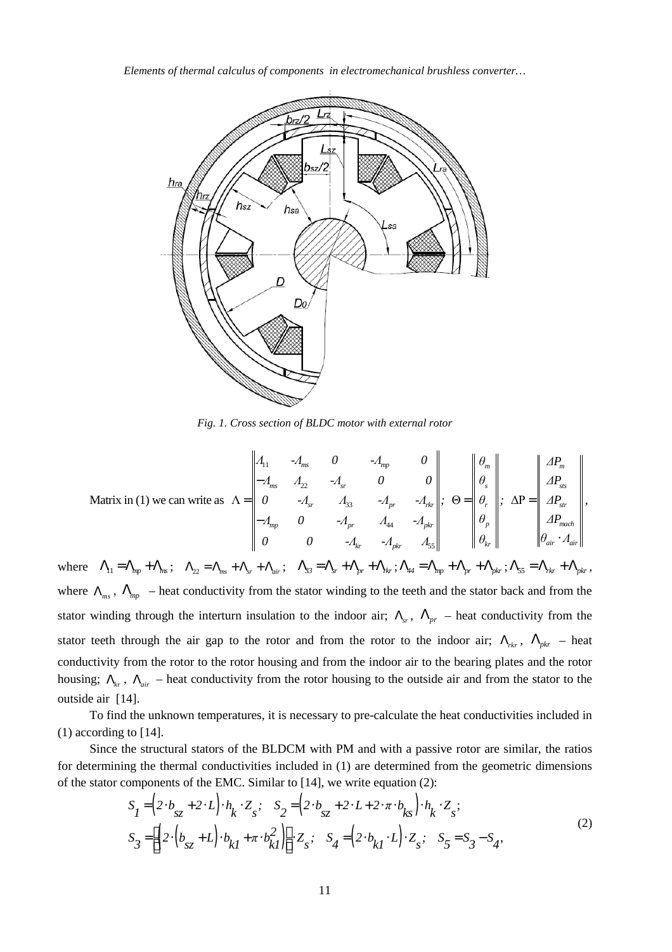*Elements of thermal calculus of components in electromechanical brushless converter…* 



*Fig. 1. Cross section of BLDC motor with external rotor*

Matrix in (1) we can write as 
$$
\Lambda = \begin{vmatrix} A_{11} & -A_{ms} & 0 & -A_{mp} & 0 \\ -A_{ms} & A_{22} & -A_{sr} & 0 & 0 \\ 0 & -A_{sr} & A_{33} & -A_{pr} & -A_{rk} \\ -A_{mp} & 0 & -A_{pr} & A_{44} & -A_{pkr} \\ 0 & 0 & -A_{kr} & -A_{pkr} & A_{55} \end{vmatrix}
$$
,  $\Theta = \begin{vmatrix} \theta_{m} \\ \theta_{s} \\ \theta_{r} \\ \theta_{p} \\ \theta_{p} \\ \theta_{kr} \end{vmatrix}$ ,  $\Delta P = \begin{vmatrix} \Delta P_{m} \\ \Delta P_{m} \\ \Delta P_{m} \\ \Delta P_{m} \\ \theta_{air} \times A_{air} \end{vmatrix}$ ,

where  $L_{11} = L_{np} + L_{ns}$ ;  $L_{22} = L_{ns} + L_{sr} + L_{air}$ ;  $L_{33} = L_{sr} + L_{pr} + L_{rk}$ ;  $L_{44} = L_{np} + L_{pr} + L_{pk}$ ;  $L_{55} = L_{rk} + L_{pk}$ , where  $\mathsf{L}_{ms}$ ,  $\mathsf{L}_{mp}$  – heat conductivity from the stator winding to the teeth and the stator back and from the stator winding through the interturn insulation to the indoor air;  $\mathsf{L}_{sr}$ ,  $\mathsf{L}_{pr}$  – heat conductivity from the stator teeth through the air gap to the rotor and from the rotor to the indoor air;  $L_{rk}$ ,  $L_{pkr}$  – heat conductivity from the rotor to the rotor housing and from the indoor air to the bearing plates and the rotor housing;  $L_{kr}$ ,  $L_{air}$  – heat conductivity from the rotor housing to the outside air and from the stator to the outside air [14].

To find the unknown temperatures, it is necessary to pre-calculate the heat conductivities included in (1) according to [14].

Since the structural stators of the BLDCM with PM and with a passive rotor are similar, the ratios for determining the thermal conductivities included in (1) are determined from the geometric dimensions of the stator components of the EMC. Similar to [14], we write equation (2):

$$
S_{I} = (2\mathcal{W}_{sz} + 2\mathcal{W})\mathcal{M}_{k}\mathcal{Z}_{s}; \quad S_{2} = (2\mathcal{W}_{sz} + 2\mathcal{W} + 2\mathcal{W}\mathcal{W}_{ks})\mathcal{M}_{k}\mathcal{Z}_{s};
$$
  
\n
$$
S_{3} = \mathbf{g}(2\mathcal{W}_{sz} + L)\mathcal{W}_{kI} + \pi\mathcal{W}_{kl}^{2}]\mathbf{g}^{\mathbf{u}}\mathcal{Z}_{s}; \quad S_{4} = (2\mathcal{W}_{kl}\mathcal{W}_{k}]\mathcal{W}_{s}; \quad S_{5} = S_{3} - S_{4},
$$
\n(2)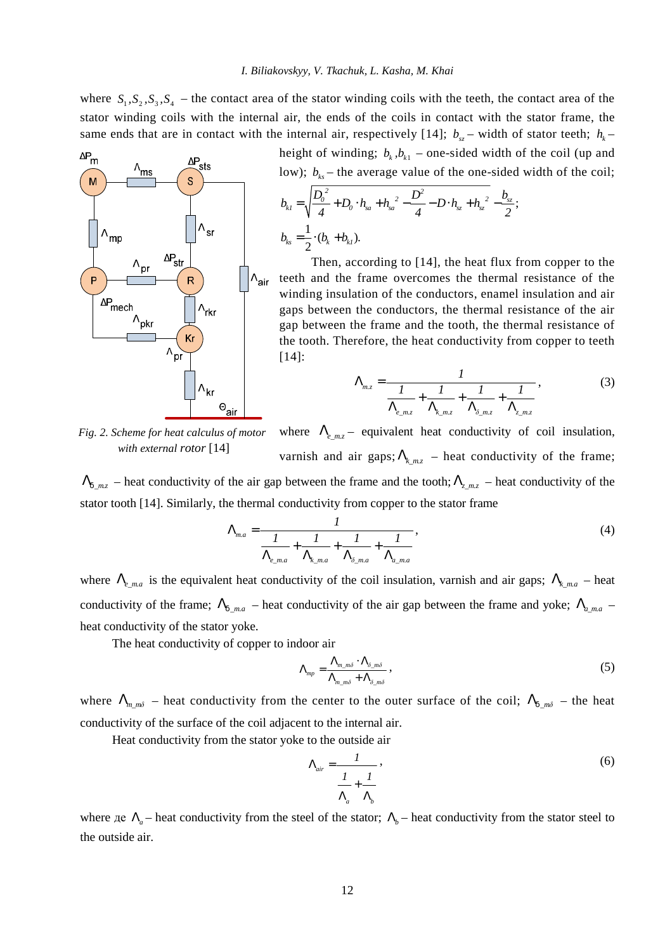where  $S_1$ ,  $S_2$ ,  $S_3$ ,  $S_4$  – the contact area of the stator winding coils with the teeth, the contact area of the stator winding coils with the internal air, the ends of the coils in contact with the stator frame, the same ends that are in contact with the internal air, respectively [14];  $b_{sz}$  – width of stator teeth;  $h_k$  –



height of winding;  $b_k$ ,  $b_{k1}$  – one-sided width of the coil (up and low);  $b_{ks}$  – the average value of the one-sided width of the coil;

$$
b_{kl} = \sqrt{\frac{D_o^2}{4} + D_o M_{sa} + h_{sa}^2 - \frac{D^2}{4} - D M_{sz} + h_{sz}^2} - \frac{b_{sz}}{2};
$$
  

$$
b_{ks} = \frac{1}{2} \times (b_k + b_{kl}).
$$

Then, according to [14], the heat flux from copper to the teeth and the frame overcomes the thermal resistance of the winding insulation of the conductors, enamel insulation and air gaps between the conductors, the thermal resistance of the air gap between the frame and the tooth, the thermal resistance of the tooth. Therefore, the heat conductivity from copper to teeth [14]:

$$
L_{m,z} = \frac{1}{\frac{1}{L_{e_{m,z}}} + \frac{1}{L_{k,mz}} + \frac{1}{L_{\delta_{m,z}}} + \frac{1}{L_{z_{m,z}}}}\,,\tag{3}
$$

*Fig. 2. Scheme for heat calculus of motor with external rotor* [14]

where  $L_{e_{mz}}$  – equivalent heat conductivity of coil insulation, varnish and air gaps;  $k_{k,mz}$  – heat conductivity of the frame;

 $L_{d_mz}$  – heat conductivity of the air gap between the frame and the tooth;  $L_{z_mz}$  – heat conductivity of the stator tooth [14]. Similarly, the thermal conductivity from copper to the stator frame

$$
L_{m,a} = \frac{1}{\frac{1}{L_{e_{m,a}}} + \frac{1}{L_{k_{m,a}}} + \frac{1}{L_{\delta_{m,a}}} + \frac{1}{L_{a_{m,a}}}}\,,\tag{4}
$$

where  $L_{ema}$  is the equivalent heat conductivity of the coil insulation, varnish and air gaps;  $L_{km,ca}$  – heat conductivity of the frame;  $\mathsf{L}_{d_m}$  – heat conductivity of the air gap between the frame and yoke;  $\mathsf{L}_{d_m}$  – heat conductivity of the stator yoke.

The heat conductivity of copper to indoor air

$$
L_{mp} = \frac{L_{m\_m\delta} \times L_{\delta\_m\delta}}{L_{m\_m\delta} + L_{\delta\_m\delta}},
$$
\n(5)

where  $\mathsf{L}_{m,m\delta}$  – heat conductivity from the center to the outer surface of the coil;  $\mathsf{L}_{d,m\delta}$  – the heat conductivity of the surface of the coil adjacent to the internal air.

Heat conductivity from the stator yoke to the outside air

$$
L_{air} = \frac{1}{\frac{1}{L_a} + \frac{1}{L_b}},
$$
\n(6)

where  $\mu$ e  $\mu_a$  – heat conductivity from the steel of the stator;  $\mu_b$  – heat conductivity from the stator steel to the outside air.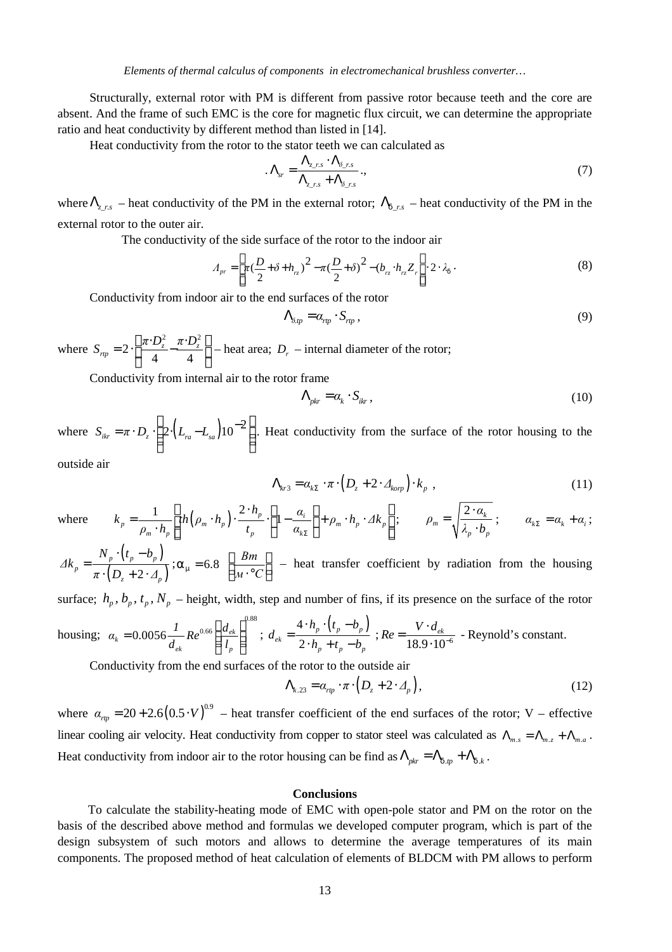Structurally, external rotor with PM is different from passive rotor because teeth and the core are absent. And the frame of such EMC is the core for magnetic flux circuit, we can determine the appropriate ratio and heat conductivity by different method than listed in [14].

Heat conductivity from the rotor to the stator teeth we can calculated as

$$
L_{sr} = \frac{L_{z,rs} \mathcal{A}_{\delta_{rs}}}{L_{z,rs} + L_{\delta_{rs}}},
$$
\n(7)

where  $L_{z,rs}$  – heat conductivity of the PM in the external rotor;  $L_{d,rs}$  – heat conductivity of the PM in the external rotor to the outer air.

The conductivity of the side surface of the rotor to the indoor air

$$
A_{pr} = \frac{\dot{\mathbf{e}}}{\mathbf{\hat{e}}t} \left(\frac{D}{2} + \delta + h_{rz}\right)^2 - \pi \left(\frac{D}{2} + \delta\right)^2 - \left(h_{rz} \mathcal{M}_{rz} Z_r \dot{\mathbf{u}} \times \mathcal{X}_d\right).
$$
\n(8)

Conductivity from indoor air to the end surfaces of the rotor

$$
-_{\delta \text{tp}} = a_{\text{rp}} \mathcal{S}_{\text{rp}} , \qquad (9)
$$

where 2  $\rightarrow$   $\mathbf{D}^2$ 2 4 4  $\alpha_{\text{rtp}} = 2 \times \frac{\Delta \mu A B_z}{4} - \frac{\mu A B_z}{4}$  $S_{\text{rp}} = 2 \times \frac{\partial^2 \pi}{\partial z^2} - \frac{\pi \Delta^2 z}{4} + \frac{\partial^2}{\partial z^2}$ è ø – heat area;  $D_r$  – internal diameter of the rotor;

Conductivity from internal air to the rotor frame

$$
\mathsf{L}_{\text{pkr}} = a_k \mathsf{X}_{\text{ikr}},\tag{10}
$$

where  $S_{ikr} = \pi \times D_z \times \frac{\partial^2}{\partial \Sigma^2} (L_{ra} - L_{sa}) 10^{-2}$ æ ö  $=\pi \times D_z \times 2 \times L_{ra} - L_{sa} 10^{-2}$ . Heat conductivity from the surface of the rotor housing to the

outside air

$$
\mathsf{L}_{kr3} = \alpha_{kS} \rtimes \mathsf{L} \left( D_z + 2 \times \mathsf{L}_{kop} \right) \rtimes_{\mathsf{L} \left( \mathsf{L} \right)} \tag{11}
$$

where 
$$
k_p = \frac{1}{\rho_m \times h_p} \frac{\hat{\mathbf{e}}}{\hat{\mathbf{e}}} h\left(\rho_m \times h_p\right) \times \frac{2 \times h_p}{t_p} \times \frac{\hat{\mathbf{e}}}{\hat{\mathbf{e}}} - \frac{\alpha_i}{\alpha_{kS}} \frac{\hat{\mathbf{e}}}{\hat{\mathbf{e}}} + \rho_m \times h_p \times 4k_p \hat{\mathbf{u}};
$$
  
\n $\rho_m = \sqrt{\frac{2 \times \alpha_k}{\lambda_p \times \hat{\mathbf{b}}}};$   $\alpha_{kS} = \alpha_k + \alpha_i;$   
\n $N_p \times \left(t_p - b_p\right)$ 

 $\overline{(D_z+2\times I_p)}$ *p*  $z^{-1}$   $\sim$   $\sim$   $p$ *Δk*  $\pi \rtimes D$ <sub>*r*</sub> + 2  $\times$ *Δ* =  $\lambda \big| D_z + 2 \rangle$  $a_m = 6.8 \frac{6}{9}$ *м С*  $= 6.8 \begin{array}{l} \frac{6}{6} \frac{Bm}{3} \frac{C}{2} \end{array}$ – heat transfer coefficient by radiation from the housing

surface;  $h_p$ ,  $b_p$ ,  $t_p$ ,  $N_p$  – height, width, step and number of fins, if its presence on the surface of the rotor

housing; 
$$
\alpha_k = 0.0056 \frac{I}{d_{ek}} Re^{0.66} \frac{\mathfrak{g}_{d_{ek}}}{\mathfrak{g}_{l_p}^2} \frac{\dot{\mathfrak{g}}^{0.88}}{\dot{\mathfrak{g}}_{l_p}^2} ; d_{ek} = \frac{4 \mathcal{A}_{l_p} \mathcal{A}_{l_p} - b_p}{2 \mathcal{A}_{l_p} + t_p - b_p} ; Re = \frac{V \mathcal{A}_{ek}}{18.9 \mathcal{A} 0^{-6}}
$$
- Reynold's constant.

Conductivity from the end surfaces of the rotor to the outside air

$$
\mathsf{L}_{k,23} = a_{\mathit{rp}} \rtimes \pi \rtimes (D_z + 2 \rtimes \mathcal{A}_p), \tag{12}
$$

where  $\alpha_{np} = 20 + 2.6 (0.5 \mathcal{N})^{0.9}$  – heat transfer coefficient of the end surfaces of the rotor; V – effective linear cooling air velocity. Heat conductivity from copper to stator steel was calculated as  $L_{m,s} = L_{m,z} + L_{m,a}$ . Heat conductivity from indoor air to the rotor housing can be find as  $L_{pkr} = L_{d,lp} + L_{d,k}$ .

## **Conclusions**

To calculate the stability-heating mode of EMC with open-pole stator and PM on the rotor on the basis of the described above method and formulas we developed computer program, which is part of the design subsystem of such motors and allows to determine the average temperatures of its main components. The proposed method of heat calculation of elements of BLDCM with PM allows to perform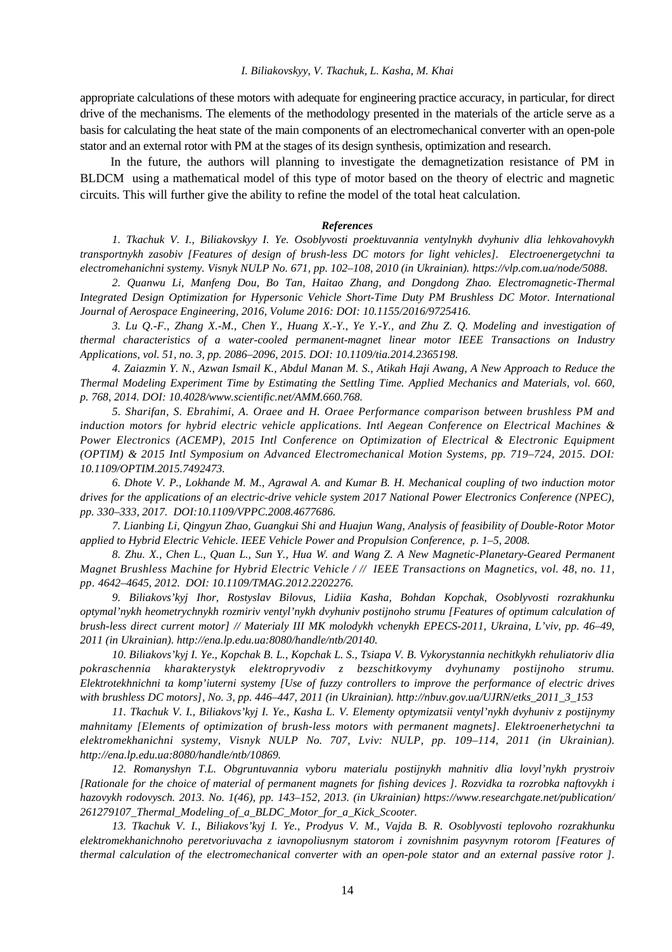## *I. Biliakovskyy, V. Tkachuk, L. Kasha, M. Khai*

appropriate calculations of these motors with adequate for engineering practice accuracy, in particular, for direct drive of the mechanisms. The elements of the methodology presented in the materials of the article serve as a basis for calculating the heat state of the main components of an electromechanical converter with an open-pole stator and an external rotor with PM at the stages of its design synthesis, optimization and research.

In the future, the authors will planning to investigate the demagnetization resistance of PM in BLDCM using a mathematical model of this type of motor based on the theory of electric and magnetic circuits. This will further give the ability to refine the model of the total heat calculation.

#### *References*

*1. Tkachuk V. I., Biliakovskyy I. Ye. Osoblyvosti proektuvannia ventylnykh dvyhuniv dlia lehkovahovykh transportnykh zasobiv [Features of design of brush-less DC motors for light vehicles]. Electroenergetychni ta electromehanichni systemy. Visnyk NULP No. 671, pp. 102–108, 2010 (in Ukrainian). [https://vlp.com.ua/node/5088.](https://vlp.com.ua/node/5088)* 

*2. Quanwu Li, Manfeng Dou, Bo Tan, Haitao Zhang, and Dongdong Zhao. Electromagnetic-Thermal Integrated Design Optimization for Hypersonic Vehicle Short-Time Duty PM Brushless DC Motor. International Journal of Aerospace Engineering, 2016, Volume 2016: DOI: 10.1155/2016/9725416.* 

3. Lu Q.-F., Zhang X.-M., Chen Y., Huang X.-Y., Ye Y.-Y., and Zhu Z. Q. Modeling and investigation of *thermal characteristics of a water-cooled permanent-magnet linear motor IEEE Transactions on Industry Applications, vol. 51, no. 3, pp. 2086–2096, 2015. DOI: 10.1109/tia.2014.2365198.* 

4. Zaiazmin Y. N., Azwan Ismail K., Abdul Manan M. S., Atikah Haji Awang, A New Approach to Reduce the *Thermal Modeling Experiment Time by Estimating the Settling Time. Applied Mechanics and Materials, vol. 660, p. 768, 2014. DOI: 10.4028/[www.scientific.net/AMM.660.768.](http://www.scientific.net/AMM.660.768)* 

*5. Sharifan, S. Ebrahimi, A. Oraee and H. Oraee Performance comparison between brushless PM and induction motors for hybrid electric vehicle applications. Intl Aegean Conference on Electrical Machines & Power Electronics (ACEMP), 2015 Intl Conference on Optimization of Electrical & Electronic Equipment (OPTIM) & 2015 Intl Symposium on Advanced Electromechanical Motion Systems, pp. 719–724, 2015. DOI: 10.1109/OPTIM.2015.7492473.* 

6. Dhote V. P., Lokhande M. M., Agrawal A. and Kumar B. H. Mechanical coupling of two induction motor *drives for the applications of an electric-drive vehicle system 2017 National Power Electronics Conference (NPEC), pp. 330–333, 2017. DOI:10.1109/VPPC.2008.4677686.* 

*7. Lianbing Li, Qingyun Zhao, Guangkui Shi and Huajun Wang, Analysis of feasibility of Double-Rotor Motor applied to Hybrid Electric Vehicle. IEEE Vehicle Power and Propulsion Conference, p. 1–5, 2008.* 

8. Zhu. X., Chen L., Quan L., Sun Y., Hua W. and Wang Z. A New Magnetic-Planetary-Geared Permanent Magnet Brushless Machine for Hybrid Electric Vehicle / // IEEE Transactions on Magnetics, vol. 48, no. 11, *pp. 4642–4645, 2012. DOI: 10.1109/TMAG.2012.2202276.* 

*9. Biliakovs'kyj Ihor, Rostyslav Bilovus, Lidiia Kasha, Bohdan Kopchak, Osoblyvosti rozrakhunku optymal'nykh heometrychnykh rozmiriv ventyl'nykh dvyhuniv postijnoho strumu [Features of optimum calculation of brush-less direct current motor] // Materialy III MK molodykh vchenykh EPECS-2011, Ukraina, L'viv, pp. 46–49, 2011 (in Ukrainian). [http://ena.lp.edu.ua:8080/handle/ntb/20140.](http://ena.lp.edu.ua:8080/handle/ntb/20140)* 

*10. Biliakovs'kyj I. Ye., Kopchak B. L., Kopchak L. S., Tsiapa V. B. Vykorystannia nechitkykh rehuliatoriv dlia pokraschennia kharakterystyk elektropryvodiv z bezschitkovymy dvyhunamy postijnoho strumu. Elektrotekhnichni ta komp'iuterni systemy [Use of fuzzy controllers to improve the performance of electric drives with brushless DC motors], No. 3, pp. 446–447, 2011 (in Ukrainian). [http://nbuv.gov.ua/UJRN/etks\\_2011\\_3\\_153](http://nbuv.gov.ua/UJRN/etks_2011_3_153)* 

*11. Tkachuk V. I., Biliakovs'kyj I. Ye., Kasha L. V. Elementy optymizatsii ventyl'nykh dvyhuniv z postijnymy mahnitamy [Elements of optimization of brush-less motors with permanent magnets]. Elektroenerhetychni ta elektromekhanichni systemy, Visnyk NULP No. 707, Lviv: NULP, pp. 109–114, 2011 (in Ukrainian). <http://ena.lp.edu.ua:8080/handle/ntb/10869>.* 

*12. Romanyshyn T.L. Obgruntuvannia vyboru materialu postijnykh mahnitiv dlia lovyl'nykh prystroiv*  [Rationale for the choice of material of permanent magnets for fishing devices ]. Rozvidka ta rozrobka naftovykh i *hazovykh rodovysch. 2013. No. 1(46), pp. 143–152, 2013. (in Ukrainian) <https://www.researchgate.net/publication/> 261279107\_Thermal\_Modeling\_of\_a\_BLDC\_Motor\_for\_a\_Kick\_Scooter.* 

*13. Tkachuk V. I., Biliakovs'kyj I. Ye., Prodyus V. M., Vajda B. R. Osoblyvosti teplovoho rozrakhunku elektromekhanichnoho peretvoriuvacha z iavnopoliusnym statorom i zovnishnim pasyvnym rotorom [Features of*  thermal calculation of the electromechanical converter with an open-pole stator and an external passive rotor ].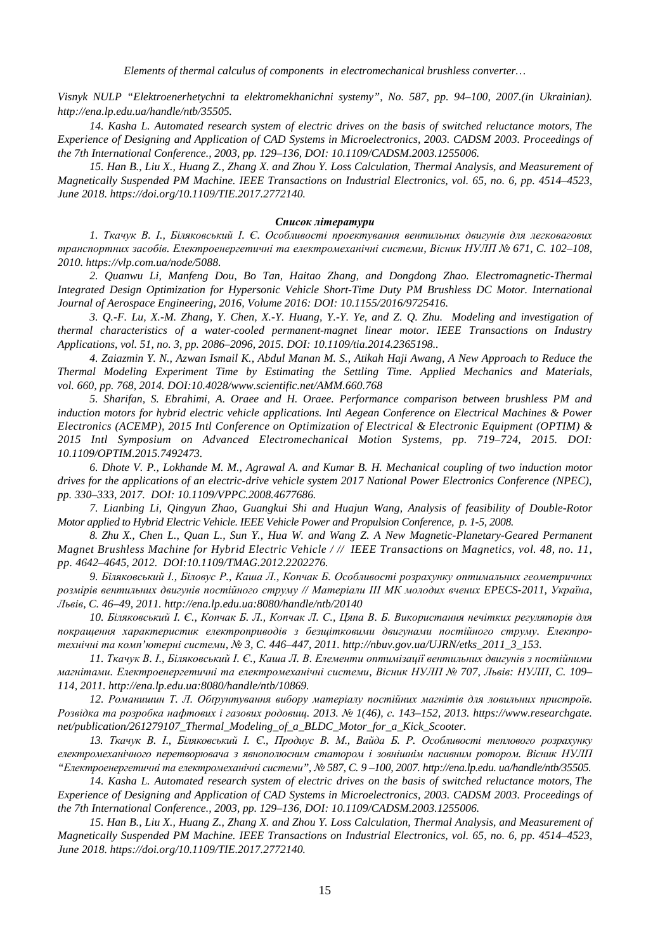*Elements of thermal calculus of components in electromechanical brushless converter…* 

*Visnyk NULP "Elektroenerhetychni ta elektromekhanichni systemy", No. 587, pp. 94–100, 2007.(in Ukrainian). <http://ena.lp.edu.ua/handle/ntb/35505>.* 

*14. Kasha L. Automated research system of electric drives on the basis of switched reluctance motors, The Experience of Designing and Application of CAD Systems in Microelectronics, 2003. CADSM 2003. Proceedings of the 7th International Conference., 2003, pp. 129–136, DOI: 10.1109/CADSM.2003.1255006.* 

15. Han B., Liu X., Huang Z., Zhang X. and Zhou Y. Loss Calculation, Thermal Analysis, and Measurement of *Magnetically Suspended PM Machine. IEEE Transactions on Industrial Electronics, vol. 65, no. 6, pp. 4514–4523, June 2018.<https://doi.org/10.1109/TIE.2017.2772140>.* 

#### *Cписок літератури*

*1. Ткачук В. І., Біляковський І. Є. Особливості проектування вентильних двигунів для легковагових транспортних засобів. Електроенергетичні та електромеханічні системи, Вісник НУЛП № 671, C. 102–108, 2010.<https://vlp.com.ua/node/5088>.* 

*2. Quanwu Li, Manfeng Dou, Bo Tan, Haitao Zhang, and Dongdong Zhao. Electromagnetic-Thermal Integrated Design Optimization for Hypersonic Vehicle Short-Time Duty PM Brushless DC Motor. International Journal of Aerospace Engineering, 2016, Volume 2016: DOI: 10.1155/2016/9725416.* 

3, O.-F. Lu, X.-M. Zhang, Y. Chen, X.-Y. Huang, Y.-Y. Ye, and Z. O. Zhu. Modeling and investigation of *thermal characteristics of a water-cooled permanent-magnet linear motor. IEEE Transactions on Industry Applications, vol. 51, no. 3, pp. 2086–2096, 2015. DOI: 10.1109/tia.2014.2365198..* 

4. Zaiazmin Y. N., Azwan Ismail K., Abdul Manan M. S., Atikah Haji Awang, A New Approach to Reduce the *Thermal Modeling Experiment Time by Estimating the Settling Time. Applied Mechanics and Materials, vol. 660, pp. 768, 2014. DOI:10.4028/[www.scientific.net/AMM.660.768](http://www.scientific.net/AMM.660.768)* 

*5. Sharifan, S. Ebrahimi, A. Oraee and H. Oraee. Performance comparison between brushless PM and induction motors for hybrid electric vehicle applications. Intl Aegean Conference on Electrical Machines & Power Electronics (ACEMP), 2015 Intl Conference on Optimization of Electrical & Electronic Equipment (OPTIM) & 2015 Intl Symposium on Advanced Electromechanical Motion Systems, pp. 719–724, 2015. DOI: 10.1109/OPTIM.2015.7492473.* 

6. Dhote V. P., Lokhande M. M., Agrawal A. and Kumar B. H. Mechanical coupling of two induction motor *drives for the applications of an electric-drive vehicle system 2017 National Power Electronics Conference (NPEC), pp. 330–333, 2017. DOI: 10.1109/VPPC.2008.4677686.* 

*7. Lianbing Li, Qingyun Zhao, Guangkui Shi and Huajun Wang, Analysis of feasibility of Double-Rotor Motor applied to Hybrid Electric Vehicle. IEEE Vehicle Power and Propulsion Conference, p. 1-5, 2008.* 

*8. Zhu X., Chen L., Quan L., Sun Y., Hua W. and Wang Z. A New Magnetic-Planetary-Geared Permanent*  Magnet Brushless Machine for Hybrid Electric Vehicle / // IEEE Transactions on Magnetics, vol. 48, no. 11, *pp. 4642–4645, 2012. DOI:10.1109/TMAG.2012.2202276.* 

*9. Біляковський І., Біловус Р., Каша Л., Копчак Б. Особливості розрахунку оптимальних геометричних розмірів вентильних двигунів постійного струму // Матеріали ІІІ МК молодих вчених EPECS-2011, Україна, Львів, C. 46–49, 2011. <http://ena.lp.edu.ua:8080/handle/ntb/20140>*

10. Біляковський І. Є., Копчак Б. Л., Копчак Л. С., Цяпа В. Б. Використання нечітких регуляторів для *покращення характеристик електроприводів з безщітковими двигунами постійного струму. Електротехнічні та комп'ютерні системи, № 3, C. 446–447, 2011. [http://nbuv.gov.ua/UJRN/etks\\_2011\\_3\\_153](http://nbuv.gov.ua/UJRN/etks_2011_3_153).* 

11. Ткачук В. І., Біляковський І. Є., Каша Л. В. Елементи оптимізації вентильних двигунів з постійними *магнітами. Електроенергетичні та електромеханічні системи, Вісник НУЛП № 707, Львів: НУЛП, C. 109– 114, 2011.<http://ena.lp.edu.ua:8080/handle/ntb/10869>.* 

*12. Романишин Т. Л. Обґрунтування вибору матеріалу постійних магнітів для ловильних пристроїв.*  Розвідка та розробка нафтових і газових родовищ. 2013. № 1(46), с. 143-152, 2013. [https://www.researchgate.](https://www.researchgate) *net/publication/261279107\_Thermal\_Modeling\_of\_a\_BLDC\_Motor\_for\_a\_Kick\_Scooter.* 

13. Ткачук В. І., Біляковський І. Є., Продиус В. М., Вайда Б. Р. Особливості теплового розрахунку *електромеханічного перетворювача з явнополюсним статором і зовнішнім пасивним ротором. Вісник НУЛП "Електроенергетичні та електромеханічні системи", № 587, C. 9 –100, 2007.<http://ena.lp.edu>. ua/handle/ntb/35505.* 

*14. Kasha L. Automated research system of electric drives on the basis of switched reluctance motors, The Experience of Designing and Application of CAD Systems in Microelectronics, 2003. CADSM 2003. Proceedings of the 7th International Conference., 2003, pp. 129–136, DOI: 10.1109/CADSM.2003.1255006.* 

15. Han B., Liu X., Huang Z., Zhang X. and Zhou Y. Loss Calculation, Thermal Analysis, and Measurement of *Magnetically Suspended PM Machine. IEEE Transactions on Industrial Electronics, vol. 65, no. 6, pp. 4514–4523, June 2018.<https://doi.org/10.1109/TIE.2017.2772140>.*